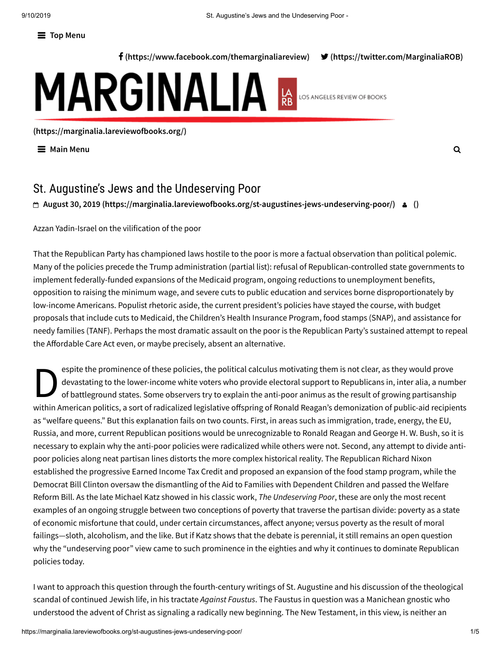**Top Menu**

**[\(https://www.facebook.com/themarginaliareview\)](https://www.facebook.com/themarginaliareview) [\(https://twitter.com/MarginaliaROB\)](https://twitter.com/MarginaliaROB)**

# MARGINALIA **RE** LOS ANGELES REVIEW OF BOOKS

**[\(https://marginalia.lareviewofbooks.org/\)](https://marginalia.lareviewofbooks.org/)**

**Main Menu**

# St. Augustine's Jews and the Undeserving Poor

# **August 30, 2019 [\(https://marginalia.lareviewofbooks.org/st-augustines-jews-undeserving-poor/\)](https://marginalia.lareviewofbooks.org/st-augustines-jews-undeserving-poor/) [\(\)](https://marginalia.lareviewofbooks.org/st-augustines-jews-undeserving-poor/)**

Azzan Yadin-Israel on the vilification of the poor

That the Republican Party has championed laws hostile to the poor is more a factual observation than political polemic. Many of the policies precede the Trump administration (partial list): refusal of Republican-controlled state governments to implement federally-funded expansions of the Medicaid program, ongoing reductions to unemployment benefits, opposition to raising the minimum wage, and severe cuts to public education and services borne disproportionately by low-income Americans. Populist rhetoric aside, the current president's policies have stayed the course, with budget proposals that include cuts to Medicaid, the Children's Health Insurance Program, food stamps (SNAP), and assistance for needy families (TANF). Perhaps the most dramatic assault on the poor is the Republican Party's sustained attempt to repeal the Affordable Care Act even, or maybe precisely, absent an alternative.

espit<br>deva<br>of ba espite the prominence of these policies, the political calculus motivating them is not clear, as they would prove devastating to the lower-income white voters who provide electoral support to Republicans in, inter alia, a number of battleground states. Some observers try to explain the anti-poor animus as the result of growing partisanship within American politics, a sort of radicalized legislative offspring of Ronald Reagan's demonization of public-aid recipients as "welfare queens." But this explanation fails on two counts. First, in areas such as immigration, trade, energy, the EU, Russia, and more, current Republican positions would be unrecognizable to Ronald Reagan and George H. W. Bush, so it is necessary to explain why the anti-poor policies were radicalized while others were not. Second, any attempt to divide antipoor policies along neat partisan lines distorts the more complex historical reality. The Republican Richard Nixon established the progressive Earned Income Tax Credit and proposed an expansion of the food stamp program, while the Democrat Bill Clinton oversaw the dismantling of the Aid to Families with Dependent Children and passed the Welfare Reform Bill. As the late Michael Katz showed in his classic work, *The Undeserving Poor*, these are only the most recent examples of an ongoing struggle between two conceptions of poverty that traverse the partisan divide: poverty as a state of economic misfortune that could, under certain circumstances, affect anyone; versus poverty as the result of moral failings—sloth, alcoholism, and the like. But if Katz shows that the debate is perennial, it still remains an open question why the "undeserving poor" view came to such prominence in the eighties and why it continues to dominate Republican policies today.

I want to approach this question through the fourth-century writings of St. Augustine and his discussion of the theological scandal of continued Jewish life, in his tractate *Against Faustus*. The Faustus in question was a Manichean gnostic who understood the advent of Christ as signaling a radically new beginning. The New Testament, in this view, is neither an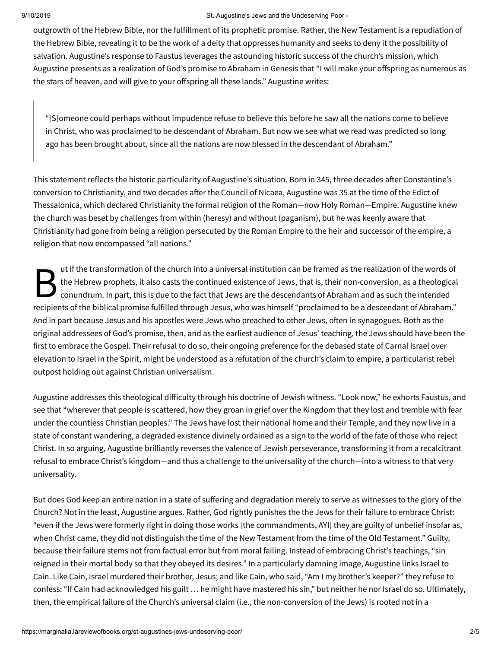### 9/10/2019 St. Augustine's Jews and the Undeserving Poor -

outgrowth of the Hebrew Bible, nor the fulfillment of its prophetic promise. Rather, the New Testament is a repudiation of the Hebrew Bible, revealing it to be the work of a deity that oppresses humanity and seeks to deny it the possibility of salvation. Augustine's response to Faustus leverages the astounding historic success of the church's mission, which Augustine presents as a realization of God's promise to Abraham in Genesis that "I will make your offspring as numerous as the stars of heaven, and will give to your offspring all these lands." Augustine writes:

"[S]omeone could perhaps without impudence refuse to believe this before he saw all the nations come to believe in Christ, who was proclaimed to be descendant of Abraham. But now we see what we read was predicted so long ago has been brought about, since all the nations are now blessed in the descendant of Abraham."

This statement reflects the historic particularity of Augustine's situation. Born in 345, three decades after Constantine's conversion to Christianity, and two decades after the Council of Nicaea, Augustine was 35 at the time of the Edict of Thessalonica, which declared Christianity the formal religion of the Roman—now Holy Roman—Empire. Augustine knew the church was beset by challenges from within (heresy) and without (paganism), but he was keenly aware that Christianity had gone from being a religion persecuted by the Roman Empire to the heir and successor of the empire, a religion that now encompassed "all nations."

 $B_{\text{cont}}^{\text{utf}}$ ut if the transformation of the church into a universal institution can be framed as the realization of the words of the Hebrew prophets, it also casts the continued existence of Jews, that is, their non-conversion, as a theological conundrum. In part, this is due to the fact that Jews are the descendants of Abraham and as such the intended recipients of the biblical promise fulfilled through Jesus, who was himself "proclaimed to be a descendant of Abraham." And in part because Jesus and his apostles were Jews who preached to other Jews, often in synagogues. Both as the original addressees of God's promise, then, and as the earliest audience of Jesus' teaching, the Jews should have been the first to embrace the Gospel. Their refusal to do so, their ongoing preference for the debased state of Carnal Israel over elevation to Israel in the Spirit, might be understood as a refutation of the church's claim to empire, a particularist rebel outpost holding out against Christian universalism.

Augustine addresses this theological difficulty through his doctrine of Jewish witness. "Look now," he exhorts Faustus, and see that "wherever that people is scattered, how they groan in grief over the Kingdom that they lost and tremble with fear under the countless Christian peoples." The Jews have lost their national home and their Temple, and they now live in a state of constant wandering, a degraded existence divinely ordained as a sign to the world of the fate of those who reject Christ. In so arguing, Augustine brilliantly reverses the valence of Jewish perseverance, transforming it from a recalcitrant refusal to embrace Christ's kingdom—and thus a challenge to the universality of the church—into a witness to that very universality.

But does God keep an entire nation in a state of suffering and degradation merely to serve as witnesses to the glory of the Church? Not in the least, Augustine argues. Rather, God rightly punishes the the Jews for their failure to embrace Christ: "even if the Jews were formerly right in doing those works [the commandments, AYI] they are guilty of unbelief insofar as, when Christ came, they did not distinguish the time of the New Testament from the time of the Old Testament." Guilty, because their failure stems not from factual error but from moral failing. Instead of embracing Christ's teachings, "sin reigned in their mortal body so that they obeyed its desires." In a particularly damning image, Augustine links Israel to Cain. Like Cain, Israel murdered their brother, Jesus; and like Cain, who said, "Am I my brother's keeper?" they refuse to confess: "If Cain had acknowledged his guilt … he might have mastered his sin," but neither he nor Israel do so. Ultimately, then, the empirical failure of the Church's universal claim (i.e., the non-conversion of the Jews) is rooted not in a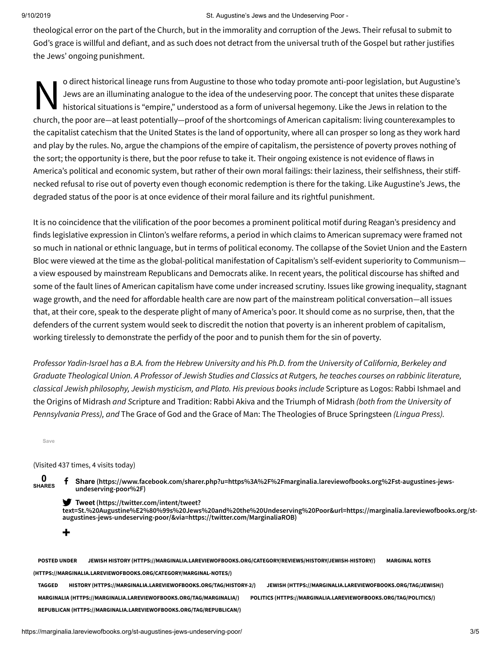### 9/10/2019 St. Augustine's Jews and the Undeserving Poor -

theological error on the part of the Church, but in the immorality and corruption of the Jews. Their refusal to submit to God's grace is willful and defiant, and as such does not detract from the universal truth of the Gospel but rather justifies the Jews' ongoing punishment.

O direct historical lineage runs from Augustine to those who today promote anti-poor legislation, but Augustine's<br>Jews are an illuminating analogue to the idea of the undeserving poor. The concept that unites these dispara o direct historical lineage runs from Augustine to those who today promote anti-poor legislation, but Augustine's Jews are an illuminating analogue to the idea of the undeserving poor. The concept that unites these disparate historical situations is "empire," understood as a form of universal hegemony. Like the Jews in relation to the the capitalist catechism that the United States is the land of opportunity, where all can prosper so long as they work hard and play by the rules. No, argue the champions of the empire of capitalism, the persistence of poverty proves nothing of the sort; the opportunity is there, but the poor refuse to take it. Their ongoing existence is not evidence of flaws in America's political and economic system, but rather of their own moral failings: their laziness, their selfishness, their stiffnecked refusal to rise out of poverty even though economic redemption is there for the taking. Like Augustine's Jews, the degraded status of the poor is at once evidence of their moral failure and its rightful punishment.

It is no coincidence that the vilification of the poor becomes a prominent political motif during Reagan's presidency and finds legislative expression in Clinton's welfare reforms, a period in which claims to American supremacy were framed not so much in national or ethnic language, but in terms of political economy. The collapse of the Soviet Union and the Eastern Bloc were viewed at the time as the global-political manifestation of Capitalism's self-evident superiority to Communism a view espoused by mainstream Republicans and Democrats alike. In recent years, the political discourse has shifted and some of the fault lines of American capitalism have come under increased scrutiny. Issues like growing inequality, stagnant wage growth, and the need for affordable health care are now part of the mainstream political conversation—all issues that, at their core, speak to the desperate plight of many of America's poor. It should come as no surprise, then, that the defenders of the current system would seek to discredit the notion that poverty is an inherent problem of capitalism, working tirelessly to demonstrate the perfidy of the poor and to punish them for the sin of poverty.

Professor Yadin-Israel has a B.A. from the Hebrew University and his Ph.D. from the University of California, Berkeley and Graduate Theological Union. A Professor of Jewish Studies and Classics at Rutgers, he teaches courses on rabbinic literature, *classical Jewish philosophy, Jewish mysticism, and Plato. His previous books include* Scripture as Logos: Rabbi Ishmael and the Origins of Midrash *and S*cripture and Tradition: Rabbi Akiva and the Triumph of Midrash *(both from the University of Pennsylvania Press), and* The Grace of God and the Grace of Man: The Theologies of Bruce Springsteen *(Lingua Press).*

**Save**

(Visited 437 times, 4 visits today)

**0 SHARES**

**+**

 **Share [\(https://www.facebook.com/sharer.php?u=https%3A%2F%2Fmarginalia.lareviewofbooks.org%2Fst-augustines-jews](https://www.facebook.com/sharer.php?u=https%3A%2F%2Fmarginalia.lareviewofbooks.org%2Fst-augustines-jews-undeserving-poor%2F)undeserving-poor%2F)**

**Tweet (https://twitter.com/intent/tweet?**

**[text=St.%20Augustine%E2%80%99s%20Jews%20and%20the%20Undeserving%20Poor&url=https://marginalia.lareviewofbooks.org/st](https://twitter.com/intent/tweet?text=St.%20Augustine%E2%80%99s%20Jews%20and%20the%20Undeserving%20Poor&url=https://marginalia.lareviewofbooks.org/st-augustines-jews-undeserving-poor/&via=https://twitter.com/MarginaliaROB)augustines-jews-undeserving-poor/&via=https://twitter.com/MarginaliaROB)**

**POSTED UNDER JEWISH HISTORY [\(HTTPS://MARGINALIA.LAREVIEWOFBOOKS.ORG/CATEGORY/REVIEWS/HISTORY/JEWISH-HISTORY/\)](https://marginalia.lareviewofbooks.org/category/reviews/history/jewish-history/) MARGINAL NOTES (HTTPS://MARGINALIA.LAREVIEWOFBOOKS.ORG/CATEGORY/MARGINAL-NOTES/) TAGGED HISTORY [\(HTTPS://MARGINALIA.LAREVIEWOFBOOKS.ORG/TAG/HISTORY-2/\)](https://marginalia.lareviewofbooks.org/tag/history-2/) JEWISH [\(HTTPS://MARGINALIA.LAREVIEWOFBOOKS.ORG/TAG/JEWISH/\)](https://marginalia.lareviewofbooks.org/tag/jewish/) MARGINALIA [\(HTTPS://MARGINALIA.LAREVIEWOFBOOKS.ORG/TAG/MARGINALIA/\)](https://marginalia.lareviewofbooks.org/tag/marginalia/) POLITICS [\(HTTPS://MARGINALIA.LAREVIEWOFBOOKS.ORG/TAG/POLITICS/\)](https://marginalia.lareviewofbooks.org/tag/politics/) REPUBLICAN [\(HTTPS://MARGINALIA.LAREVIEWOFBOOKS.ORG/TAG/REPUBLICAN/\)](https://marginalia.lareviewofbooks.org/tag/republican/)**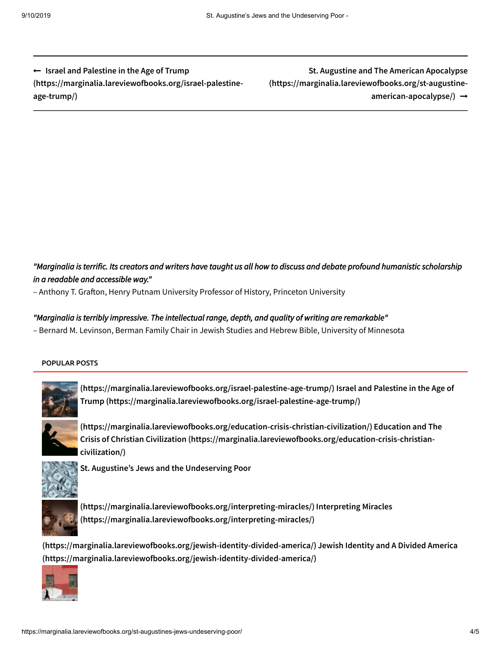**Israel and Palestine in the Age of Trump [\(https://marginalia.lareviewofbooks.org/israel-palestine](https://marginalia.lareviewofbooks.org/israel-palestine-age-trump/)age-trump/)**

**St. Augustine and The American Apocalypse [\(https://marginalia.lareviewofbooks.org/st-augustine](https://marginalia.lareviewofbooks.org/st-augustine-american-apocalypse/)american-apocalypse/)**

# "Marginalia is terrific. Its creators and writers have taught us all how to discuss and debate profound humanistic scholarship *in a readable and accessible way."*

– Anthony T. Grafton, Henry Putnam University Professor of History, Princeton University

## *"Marginalia is terribly impressive. The intellectual range, depth, and quality of writing are remarkable"*

– Bernard M. Levinson, Berman Family Chair in Jewish Studies and Hebrew Bible, University of Minnesota

### POPULAR POSTS



**[\(https://marginalia.lareviewofbooks.org/israel-palestine-age-trump/\)](https://marginalia.lareviewofbooks.org/israel-palestine-age-trump/) Israel and Palestine in the Age of Trump [\(https://marginalia.lareviewofbooks.org/israel-palestine-age-trump/\)](https://marginalia.lareviewofbooks.org/israel-palestine-age-trump/)**



**[\(https://marginalia.lareviewofbooks.org/education-crisis-christian-civilization/\)](https://marginalia.lareviewofbooks.org/education-crisis-christian-civilization/) Education and The Crisis of Christian Civilization (https://marginalia.lareviewofbooks.org/education-crisis-christiancivilization/)**



**St. Augustine's Jews and the Undeserving Poor**



**[\(https://marginalia.lareviewofbooks.org/interpreting-miracles/\)](https://marginalia.lareviewofbooks.org/interpreting-miracles/) Interpreting Miracles (https://marginalia.lareviewofbooks.org/interpreting-miracles/)**

**(https://marginalia.lareviewofbooks.org/jewish-identity-divided-america/) Jewish Identity and A Divided America [\(https://marginalia.lareviewofbooks.org/jewish-identity-divided-america/\)](https://marginalia.lareviewofbooks.org/jewish-identity-divided-america/)**